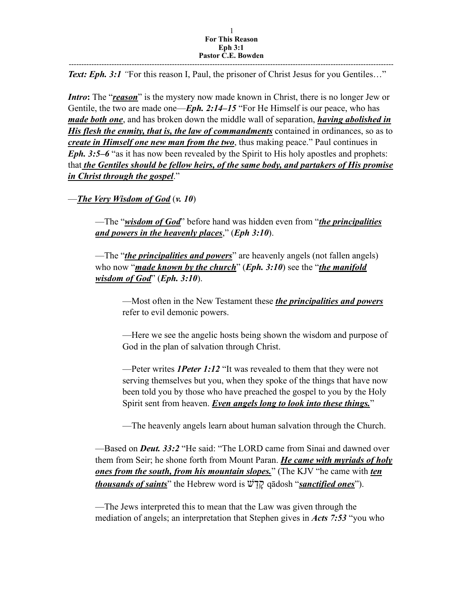**Text: Eph. 3:1** "For this reason I, Paul, the prisoner of Christ Jesus for you Gentiles..."

*Intro:* The "*reason*" is the mystery now made known in Christ, there is no longer Jew or Gentile, the two are made one—*Eph. 2:14–15* "For He Himself is our peace, who has *made both one*, and has broken down the middle wall of separation, *having abolished in His flesh the enmity, that is, the law of commandments* contained in ordinances, so as to *create in Himself one new man from the two*, thus making peace." Paul continues in *Eph.* 3:5–6 "as it has now been revealed by the Spirit to His holy apostles and prophets: that *the Gentiles should be fellow heirs, of the same body, and partakers of His promise in Christ through the gospel*."

—*The Very Wisdom of God* (*v. 10*)

—The "*wisdom of God*" before hand was hidden even from "*the principalities and powers in the heavenly places*," (*Eph 3:10*).

—The "*the principalities and powers*" are heavenly angels (not fallen angels) who now "*made known by the church*" (*Eph. 3:10*) see the "*the manifold wisdom of God*" (*Eph. 3:10*).

—Most often in the New Testament these *the principalities and powers* refer to evil demonic powers.

—Here we see the angelic hosts being shown the wisdom and purpose of God in the plan of salvation through Christ.

—Peter writes *1Peter 1:12* "It was revealed to them that they were not serving themselves but you, when they spoke of the things that have now been told you by those who have preached the gospel to you by the Holy Spirit sent from heaven. *Even angels long to look into these things.*"

—The heavenly angels learn about human salvation through the Church.

—Based on *Deut. 33:2* "He said: "The LORD came from Sinai and dawned over them from Seir; he shone forth from Mount Paran. *He came with myriads of holy ones from the south, from his mountain slopes.*" (The KJV "he came with *ten thousands of saints*" the Hebrew word is שׁ ַד ָק qādosh "*sanctified ones*").

—The Jews interpreted this to mean that the Law was given through the mediation of angels; an interpretation that Stephen gives in *Acts 7:53* "you who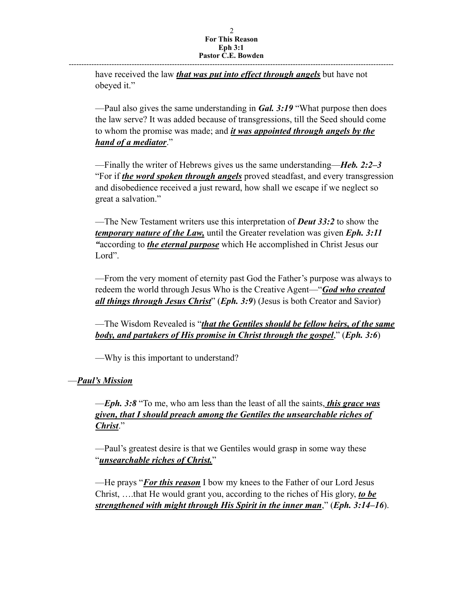have received the law *that was put into effect through angels* but have not obeyed it."

—Paul also gives the same understanding in *Gal. 3:19* "What purpose then does the law serve? It was added because of transgressions, till the Seed should come to whom the promise was made; and *it was appointed through angels by the hand of a mediator*."

—Finally the writer of Hebrews gives us the same understanding—*Heb. 2:2–3*  "For if *the word spoken through angels* proved steadfast, and every transgression and disobedience received a just reward, how shall we escape if we neglect so great a salvation."

—The New Testament writers use this interpretation of *Deut 33:2* to show the *temporary nature of the Law,* until the Greater revelation was given *Eph. 3:11 "*according to *the eternal purpose* which He accomplished in Christ Jesus our Lord".

—From the very moment of eternity past God the Father's purpose was always to redeem the world through Jesus Who is the Creative Agent—"*God who created all things through Jesus Christ*" (*Eph. 3:9*) (Jesus is both Creator and Savior)

—The Wisdom Revealed is "*that the Gentiles should be fellow heirs, of the same body, and partakers of His promise in Christ through the gospel*," (*Eph. 3:6*)

—Why is this important to understand?

—*Paul's Mission*

—*Eph. 3:8* "To me, who am less than the least of all the saints, *this grace was given, that I should preach among the Gentiles the unsearchable riches of Christ*."

—Paul's greatest desire is that we Gentiles would grasp in some way these "*unsearchable riches of Christ.*"

—He prays "*For this reason* I bow my knees to the Father of our Lord Jesus Christ, ….that He would grant you, according to the riches of His glory, *to be strengthened with might through His Spirit in the inner man*," (*Eph. 3:14–16*).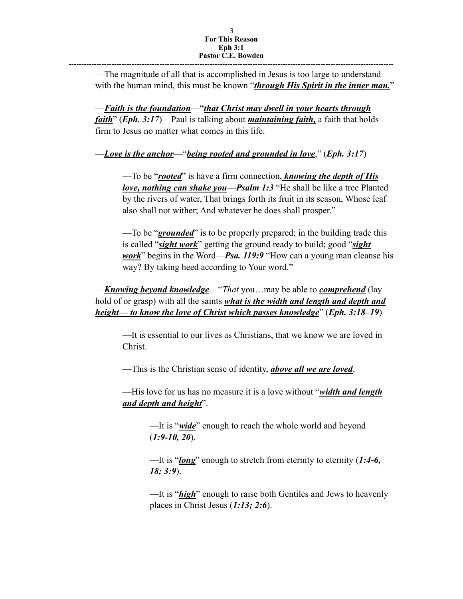—The magnitude of all that is accomplished in Jesus is too large to understand with the human mind, this must be known "*through His Spirit in the inner man*."

—*Faith is the foundation*—"*that Christ may dwell in your hearts through faith*" (*Eph. 3:17*)—Paul is talking about *maintaining faith,* a faith that holds firm to Jesus no matter what comes in this life.

## —*Love is the anchor*—"*being rooted and grounded in love*," (*Eph. 3:17*)

—To be "*rooted*" is have a firm connection, *knowing the depth of His love, nothing can shake you*—*Psalm 1:3* "He shall be like a tree Planted by the rivers of water, That brings forth its fruit in its season, Whose leaf also shall not wither; And whatever he does shall prosper."

—To be "*grounded*" is to be properly prepared; in the building trade this is called "*sight work*" getting the ground ready to build; good "*sight work*" begins in the Word—*Psa. 119:9* "How can a young man cleanse his way? By taking heed according to Your word."

—*Knowing beyond knowledge*—"*That* you…may be able to *comprehend* (lay hold of or grasp) with all the saints *what is the width and length and depth and height— to know the love of Christ which passes knowledge*" (*Eph. 3:18–19*)

—It is essential to our lives as Christians, that we know we are loved in Christ.

—This is the Christian sense of identity, *above all we are loved*.

—His love for us has no measure it is a love without "*width and length and depth and height*".

> —It is "*wide*" enough to reach the whole world and beyond (*1:9-10, 20*).

—It is "*long*" enough to stretch from eternity to eternity (*1:4-6, 18; 3:9*).

—It is "*high*" enough to raise both Gentiles and Jews to heavenly places in Christ Jesus (*1:13; 2:6*).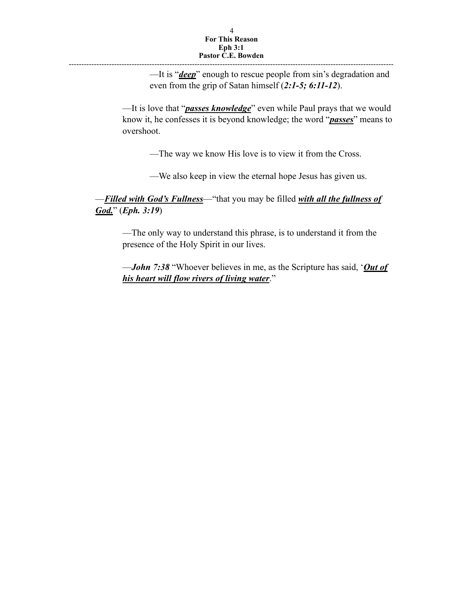---------------------------------------------------------------------------------------------------------------------------------

—It is "*deep*" enough to rescue people from sin's degradation and even from the grip of Satan himself (*2:1-5; 6:11-12*).

—It is love that "*passes knowledge*" even while Paul prays that we would know it, he confesses it is beyond knowledge; the word "*passes*" means to overshoot.

—The way we know His love is to view it from the Cross.

—We also keep in view the eternal hope Jesus has given us.

—*Filled with God's Fullness*—"that you may be filled *with all the fullness of God.*" (*Eph. 3:19*)

—The only way to understand this phrase, is to understand it from the presence of the Holy Spirit in our lives.

—*John 7:38* "Whoever believes in me, as the Scripture has said, '*Out of his heart will flow rivers of living water*."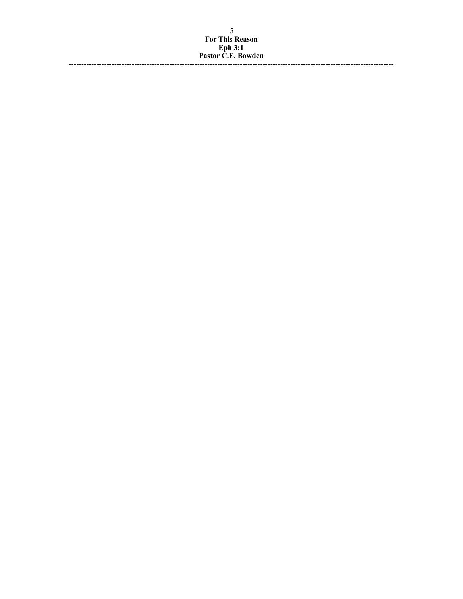<sup>5</sup><br>For This Reason<br>Eph 3:1<br>Pastor C.E. Bowden